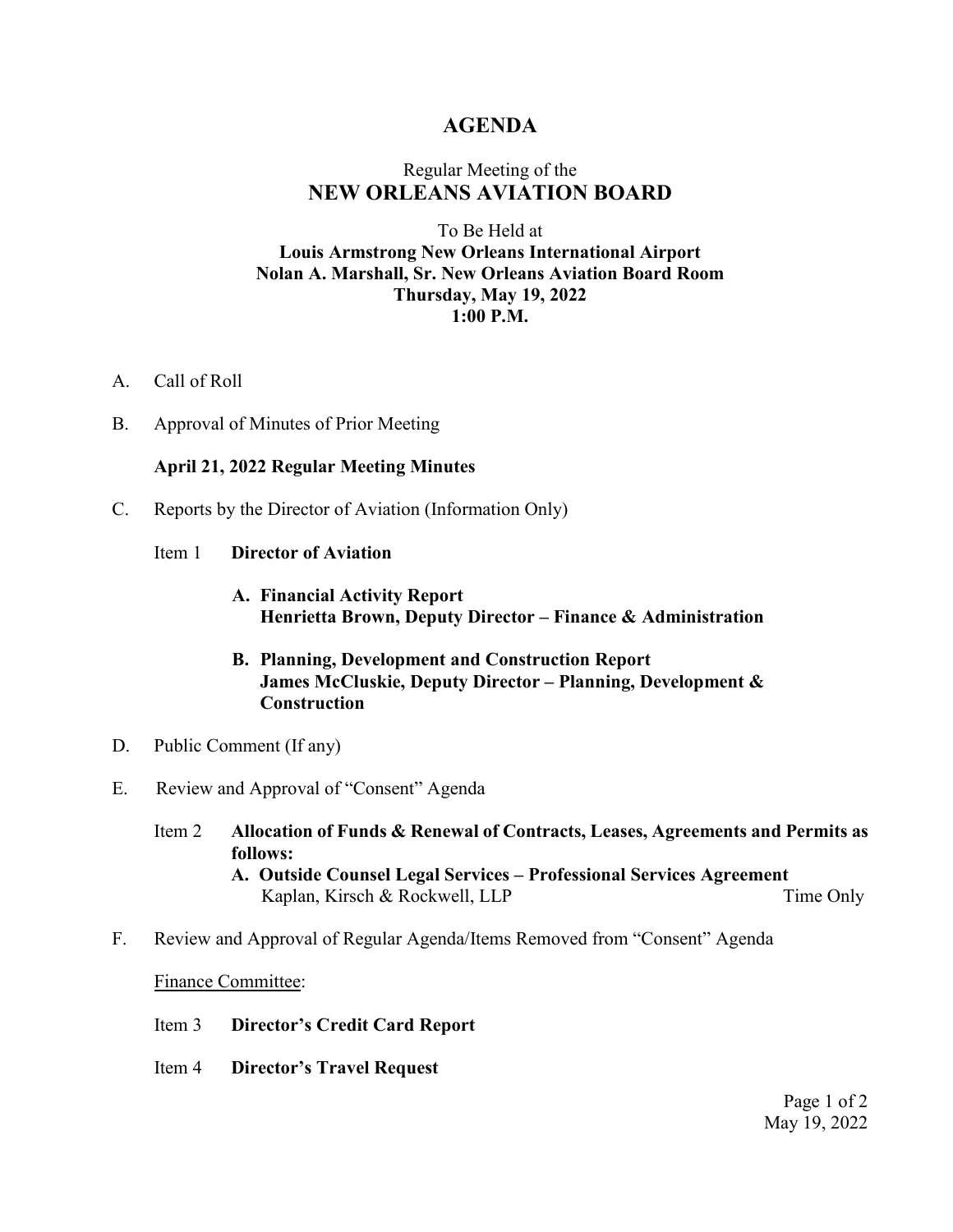## **AGENDA**

# Regular Meeting of the **NEW ORLEANS AVIATION BOARD**

### To Be Held at **Louis Armstrong New Orleans International Airport Nolan A. Marshall, Sr. New Orleans Aviation Board Room Thursday, May 19, 2022 1:00 P.M.**

- A. Call of Roll
- B. Approval of Minutes of Prior Meeting

#### **April 21, 2022 Regular Meeting Minutes**

- C. Reports by the Director of Aviation (Information Only)
	- Item 1 **Director of Aviation**
		- **A. Financial Activity Report Henrietta Brown, Deputy Director – Finance & Administration**
		- **B. Planning, Development and Construction Report James McCluskie, Deputy Director – Planning, Development & Construction**
- D. Public Comment (If any)
- E. Review and Approval of "Consent" Agenda
	- Item 2 **Allocation of Funds & Renewal of Contracts, Leases, Agreements and Permits as follows: A. Outside Counsel Legal Services – Professional Services Agreement**  Kaplan, Kirsch & Rockwell, LLP Time Only
- F. Review and Approval of Regular Agenda/Items Removed from "Consent" Agenda

#### Finance Committee:

- Item 3 **Director's Credit Card Report**
- Item 4 **Director's Travel Request**

Page 1 of 2 May 19, 2022